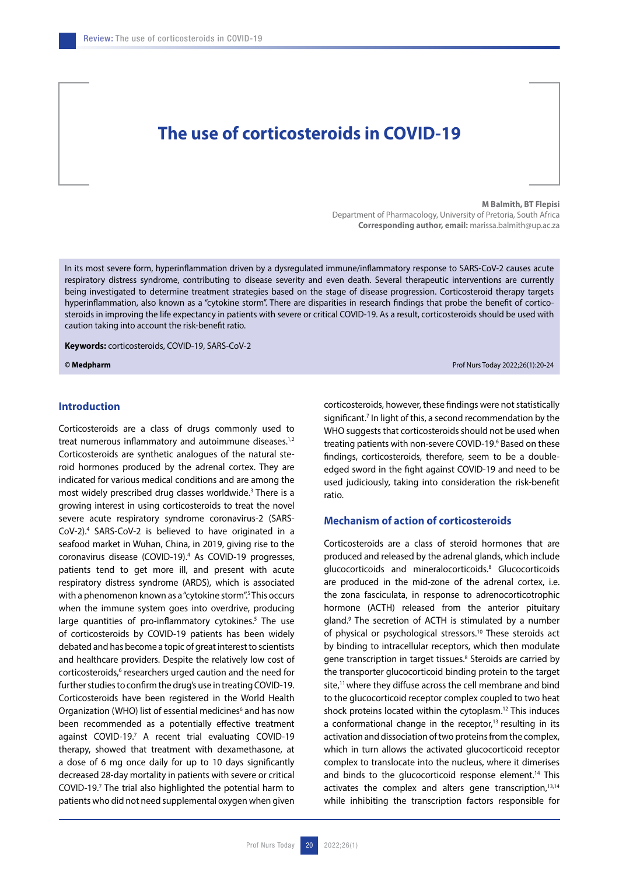# **The use of corticosteroids in COVID-19**

**M Balmith, BT Flepisi**

Department of Pharmacology, University of Pretoria, South Africa **Corresponding author, email:** marissa.balmith@up.ac.za

In its most severe form, hyperinflammation driven by a dysregulated immune/inflammatory response to SARS-CoV-2 causes acute respiratory distress syndrome, contributing to disease severity and even death. Several therapeutic interventions are currently being investigated to determine treatment strategies based on the stage of disease progression. Corticosteroid therapy targets hyperinflammation, also known as a "cytokine storm". There are disparities in research findings that probe the benefit of corticosteroids in improving the life expectancy in patients with severe or critical COVID-19. As a result, corticosteroids should be used with caution taking into account the risk-benefit ratio.

**Keywords:** corticosteroids, COVID-19, SARS-CoV-2

**© Medpharm** Prof Nurs Today 2022;26(1):20-24

## **Introduction**

Corticosteroids are a class of drugs commonly used to treat numerous inflammatory and autoimmune diseases.<sup>1,2</sup> Corticosteroids are synthetic analogues of the natural steroid hormones produced by the adrenal cortex. They are indicated for various medical conditions and are among the most widely prescribed drug classes worldwide.<sup>3</sup> There is a growing interest in using corticosteroids to treat the novel severe acute respiratory syndrome coronavirus-2 (SARS-CoV-2).4 SARS-CoV-2 is believed to have originated in a seafood market in Wuhan, China, in 2019, giving rise to the coronavirus disease (COVID-19).4 As COVID-19 progresses, patients tend to get more ill, and present with acute respiratory distress syndrome (ARDS), which is associated with a phenomenon known as a "cytokine storm".<sup>5</sup> This occurs when the immune system goes into overdrive, producing large quantities of pro-inflammatory cytokines.<sup>5</sup> The use of corticosteroids by COVID-19 patients has been widely debated and has become a topic of great interest to scientists and healthcare providers. Despite the relatively low cost of corticosteroids,<sup>6</sup> researchers urged caution and the need for further studies to confirm the drug's use in treating COVID-19. Corticosteroids have been registered in the World Health Organization (WHO) list of essential medicines<sup>6</sup> and has now been recommended as a potentially effective treatment against COVID-19.<sup>7</sup> A recent trial evaluating COVID-19 therapy, showed that treatment with dexamethasone, at a dose of 6 mg once daily for up to 10 days significantly decreased 28-day mortality in patients with severe or critical COVID-19. $<sup>7</sup>$  The trial also highlighted the potential harm to</sup> patients who did not need supplemental oxygen when given

corticosteroids, however, these findings were not statistically significant.<sup>7</sup> In light of this, a second recommendation by the WHO suggests that corticosteroids should not be used when treating patients with non-severe COVID-19.<sup>6</sup> Based on these findings, corticosteroids, therefore, seem to be a doubleedged sword in the fight against COVID-19 and need to be used judiciously, taking into consideration the risk-benefit ratio.

## **Mechanism of action of corticosteroids**

Corticosteroids are a class of steroid hormones that are produced and released by the adrenal glands, which include glucocorticoids and mineralocorticoids.8 Glucocorticoids are produced in the mid-zone of the adrenal cortex, i.e. the zona fasciculata, in response to adrenocorticotrophic hormone (ACTH) released from the anterior pituitary gland.9 The secretion of ACTH is stimulated by a number of physical or psychological stressors.10 These steroids act by binding to intracellular receptors, which then modulate gene transcription in target tissues.<sup>8</sup> Steroids are carried by the transporter glucocorticoid binding protein to the target site,<sup>11</sup> where they diffuse across the cell membrane and bind to the glucocorticoid receptor complex coupled to two heat shock proteins located within the cytoplasm.12 This induces a conformational change in the receptor, $13$  resulting in its activation and dissociation of two proteins from the complex, which in turn allows the activated glucocorticoid receptor complex to translocate into the nucleus, where it dimerises and binds to the glucocorticoid response element.<sup>14</sup> This activates the complex and alters gene transcription,<sup>13,14</sup> while inhibiting the transcription factors responsible for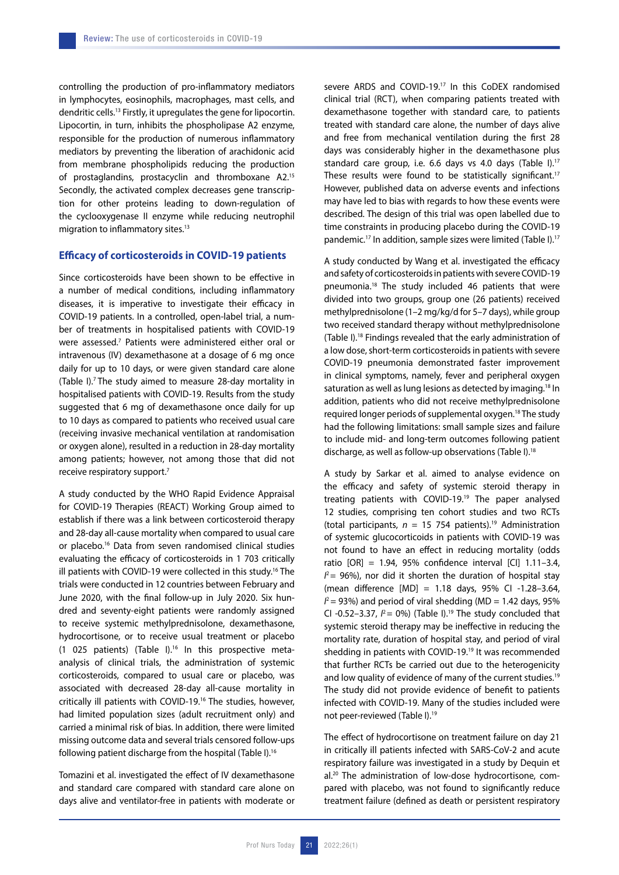controlling the production of pro-inflammatory mediators in lymphocytes, eosinophils, macrophages, mast cells, and dendritic cells.13 Firstly, it upregulates the gene for lipocortin. Lipocortin, in turn, inhibits the phospholipase A2 enzyme, responsible for the production of numerous inflammatory mediators by preventing the liberation of arachidonic acid from membrane phospholipids reducing the production of prostaglandins, prostacyclin and thromboxane A2.15 Secondly, the activated complex decreases gene transcription for other proteins leading to down-regulation of the cyclooxygenase II enzyme while reducing neutrophil migration to inflammatory sites.<sup>13</sup>

## **Efficacy of corticosteroids in COVID-19 patients**

Since corticosteroids have been shown to be effective in a number of medical conditions, including inflammatory diseases, it is imperative to investigate their efficacy in COVID-19 patients. In a controlled, open-label trial, a number of treatments in hospitalised patients with COVID-19 were assessed.7 Patients were administered either oral or intravenous (IV) dexamethasone at a dosage of 6 mg once daily for up to 10 days, or were given standard care alone (Table I).7 The study aimed to measure 28-day mortality in hospitalised patients with COVID-19. Results from the study suggested that 6 mg of dexamethasone once daily for up to 10 days as compared to patients who received usual care (receiving invasive mechanical ventilation at randomisation or oxygen alone), resulted in a reduction in 28-day mortality among patients; however, not among those that did not receive respiratory support.7

A study conducted by the WHO Rapid Evidence Appraisal for COVID-19 Therapies (REACT) Working Group aimed to establish if there was a link between corticosteroid therapy and 28-day all-cause mortality when compared to usual care or placebo.16 Data from seven randomised clinical studies evaluating the efficacy of corticosteroids in 1 703 critically ill patients with COVID-19 were collected in this study.16 The trials were conducted in 12 countries between February and June 2020, with the final follow-up in July 2020. Six hundred and seventy-eight patients were randomly assigned to receive systemic methylprednisolone, dexamethasone, hydrocortisone, or to receive usual treatment or placebo (1 025 patients) (Table I).<sup>16</sup> In this prospective metaanalysis of clinical trials, the administration of systemic corticosteroids, compared to usual care or placebo, was associated with decreased 28-day all-cause mortality in critically ill patients with COVID-19.16 The studies, however, had limited population sizes (adult recruitment only) and carried a minimal risk of bias. In addition, there were limited missing outcome data and several trials censored follow-ups following patient discharge from the hospital (Table I).16

Tomazini et al. investigated the effect of IV dexamethasone and standard care compared with standard care alone on days alive and ventilator-free in patients with moderate or

severe ARDS and COVID-19.17 In this CoDEX randomised clinical trial (RCT), when comparing patients treated with dexamethasone together with standard care, to patients treated with standard care alone, the number of days alive and free from mechanical ventilation during the first 28 days was considerably higher in the dexamethasone plus standard care group, i.e. 6.6 days vs 4.0 days (Table I).<sup>17</sup> These results were found to be statistically significant.<sup>17</sup> However, published data on adverse events and infections may have led to bias with regards to how these events were described. The design of this trial was open labelled due to time constraints in producing placebo during the COVID-19 pandemic.<sup>17</sup> In addition, sample sizes were limited (Table I).<sup>17</sup>

A study conducted by Wang et al. investigated the efficacy and safety of corticosteroids in patients with severe COVID-19 pneumonia.18 The study included 46 patients that were divided into two groups, group one (26 patients) received methylprednisolone (1–2 mg/kg/d for 5–7 days), while group two received standard therapy without methylprednisolone (Table I).18 Findings revealed that the early administration of a low dose, short-term corticosteroids in patients with severe COVID-19 pneumonia demonstrated faster improvement in clinical symptoms, namely, fever and peripheral oxygen saturation as well as lung lesions as detected by imaging.<sup>18</sup> In addition, patients who did not receive methylprednisolone required longer periods of supplemental oxygen.18 The study had the following limitations: small sample sizes and failure to include mid- and long-term outcomes following patient discharge, as well as follow-up observations (Table I).18

A study by Sarkar et al. aimed to analyse evidence on the efficacy and safety of systemic steroid therapy in treating patients with COVID-19.19 The paper analysed 12 studies, comprising ten cohort studies and two RCTs (total participants,  $n = 15$  754 patients).<sup>19</sup> Administration of systemic glucocorticoids in patients with COVID-19 was not found to have an effect in reducing mortality (odds ratio [OR] = 1.94, 95% confidence interval [CI] 1.11–3.4,  $I^2$  = 96%), nor did it shorten the duration of hospital stay (mean difference [MD] = 1.18 days, 95% CI -1.28–3.64,  $I^2$  = 93%) and period of viral shedding (MD = 1.42 days, 95% CI -0.52-3.37,  $P = 0\%$ ) (Table I).<sup>19</sup> The study concluded that systemic steroid therapy may be ineffective in reducing the mortality rate, duration of hospital stay, and period of viral shedding in patients with COVID-19.19 It was recommended that further RCTs be carried out due to the heterogenicity and low quality of evidence of many of the current studies.<sup>19</sup> The study did not provide evidence of benefit to patients infected with COVID-19. Many of the studies included were not peer-reviewed (Table I).19

The effect of hydrocortisone on treatment failure on day 21 in critically ill patients infected with SARS-CoV-2 and acute respiratory failure was investigated in a study by Dequin et al.20 The administration of low-dose hydrocortisone, compared with placebo, was not found to significantly reduce treatment failure (defined as death or persistent respiratory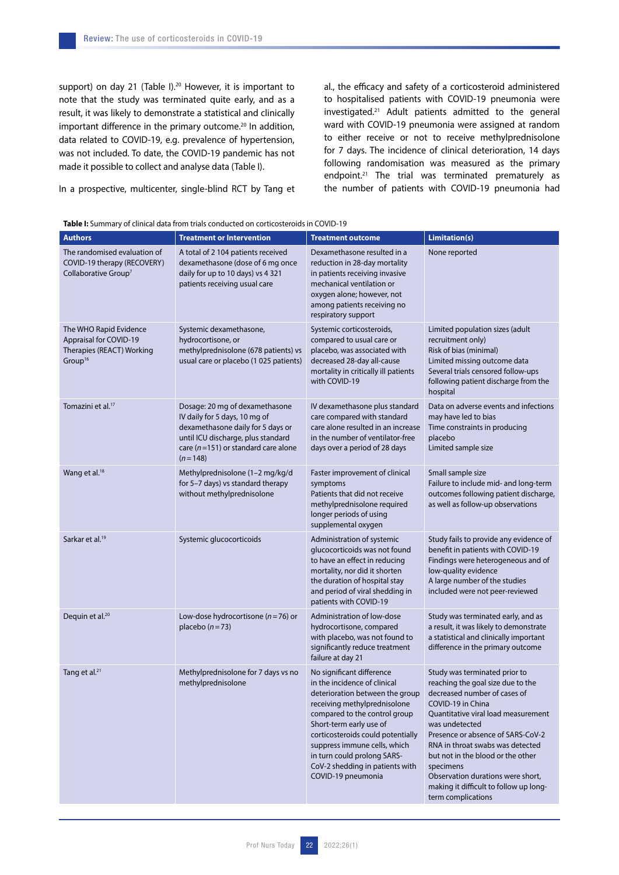support) on day 21 (Table I).<sup>20</sup> However, it is important to note that the study was terminated quite early, and as a result, it was likely to demonstrate a statistical and clinically important difference in the primary outcome.<sup>20</sup> In addition, data related to COVID-19, e.g. prevalence of hypertension, was not included. To date, the COVID-19 pandemic has not made it possible to collect and analyse data (Table I).

In a prospective, multicenter, single-blind RCT by Tang et

al., the efficacy and safety of a corticosteroid administered to hospitalised patients with COVID-19 pneumonia were investigated.21 Adult patients admitted to the general ward with COVID-19 pneumonia were assigned at random to either receive or not to receive methylprednisolone for 7 days. The incidence of clinical deterioration, 14 days following randomisation was measured as the primary endpoint.<sup>21</sup> The trial was terminated prematurely as the number of patients with COVID-19 pneumonia had

| <b>Table I:</b> Summary of clinical data from trials conducted on corticosteroids in COVID-19 |  |  |
|-----------------------------------------------------------------------------------------------|--|--|
|-----------------------------------------------------------------------------------------------|--|--|

| <b>Authors</b>                                                                                              | <b>Treatment or Intervention</b>                                                                                                                                                                   | <b>Treatment outcome</b>                                                                                                                                                                                                                                                                                                                              | Limitation(s)                                                                                                                                                                                                                                                                                                                                                                                                    |
|-------------------------------------------------------------------------------------------------------------|----------------------------------------------------------------------------------------------------------------------------------------------------------------------------------------------------|-------------------------------------------------------------------------------------------------------------------------------------------------------------------------------------------------------------------------------------------------------------------------------------------------------------------------------------------------------|------------------------------------------------------------------------------------------------------------------------------------------------------------------------------------------------------------------------------------------------------------------------------------------------------------------------------------------------------------------------------------------------------------------|
| The randomised evaluation of<br>COVID-19 therapy (RECOVERY)<br>Collaborative Group <sup>7</sup>             | A total of 2 104 patients received<br>dexamethasone (dose of 6 mg once<br>daily for up to 10 days) vs 4 321<br>patients receiving usual care                                                       | Dexamethasone resulted in a<br>reduction in 28-day mortality<br>in patients receiving invasive<br>mechanical ventilation or<br>oxygen alone; however, not<br>among patients receiving no<br>respiratory support                                                                                                                                       | None reported                                                                                                                                                                                                                                                                                                                                                                                                    |
| The WHO Rapid Evidence<br><b>Appraisal for COVID-19</b><br>Therapies (REACT) Working<br>Group <sup>16</sup> | Systemic dexamethasone,<br>hydrocortisone, or<br>methylprednisolone (678 patients) vs<br>usual care or placebo (1 025 patients)                                                                    | Systemic corticosteroids,<br>compared to usual care or<br>placebo, was associated with<br>decreased 28-day all-cause<br>mortality in critically ill patients<br>with COVID-19                                                                                                                                                                         | Limited population sizes (adult<br>recruitment only)<br>Risk of bias (minimal)<br>Limited missing outcome data<br>Several trials censored follow-ups<br>following patient discharge from the<br>hospital                                                                                                                                                                                                         |
| Tomazini et al. <sup>17</sup>                                                                               | Dosage: 20 mg of dexamethasone<br>IV daily for 5 days, 10 mg of<br>dexamethasone daily for 5 days or<br>until ICU discharge, plus standard<br>care ( $n=151$ ) or standard care alone<br>$(n=148)$ | IV dexamethasone plus standard<br>care compared with standard<br>care alone resulted in an increase<br>in the number of ventilator-free<br>days over a period of 28 days                                                                                                                                                                              | Data on adverse events and infections<br>may have led to bias<br>Time constraints in producing<br>placebo<br>Limited sample size                                                                                                                                                                                                                                                                                 |
| Wang et al. <sup>18</sup>                                                                                   | Methylprednisolone (1-2 mg/kg/d<br>for 5-7 days) vs standard therapy<br>without methylprednisolone                                                                                                 | Faster improvement of clinical<br>symptoms<br>Patients that did not receive<br>methylprednisolone required<br>longer periods of using<br>supplemental oxygen                                                                                                                                                                                          | Small sample size<br>Failure to include mid- and long-term<br>outcomes following patient discharge,<br>as well as follow-up observations                                                                                                                                                                                                                                                                         |
| Sarkar et al. <sup>19</sup>                                                                                 | Systemic glucocorticoids                                                                                                                                                                           | Administration of systemic<br>glucocorticoids was not found<br>to have an effect in reducing<br>mortality, nor did it shorten<br>the duration of hospital stay<br>and period of viral shedding in<br>patients with COVID-19                                                                                                                           | Study fails to provide any evidence of<br>benefit in patients with COVID-19<br>Findings were heterogeneous and of<br>low-quality evidence<br>A large number of the studies<br>included were not peer-reviewed                                                                                                                                                                                                    |
| Dequin et al. <sup>20</sup>                                                                                 | Low-dose hydrocortisone ( $n = 76$ ) or<br>placebo $(n=73)$                                                                                                                                        | Administration of low-dose<br>hydrocortisone, compared<br>with placebo, was not found to<br>significantly reduce treatment<br>failure at day 21                                                                                                                                                                                                       | Study was terminated early, and as<br>a result, it was likely to demonstrate<br>a statistical and clinically important<br>difference in the primary outcome                                                                                                                                                                                                                                                      |
| Tang et al. <sup>21</sup>                                                                                   | Methylprednisolone for 7 days vs no<br>methylprednisolone                                                                                                                                          | No significant difference<br>in the incidence of clinical<br>deterioration between the group<br>receiving methylprednisolone<br>compared to the control group<br>Short-term early use of<br>corticosteroids could potentially<br>suppress immune cells, which<br>in turn could prolong SARS-<br>CoV-2 shedding in patients with<br>COVID-19 pneumonia | Study was terminated prior to<br>reaching the goal size due to the<br>decreased number of cases of<br>COVID-19 in China<br>Quantitative viral load measurement<br>was undetected<br>Presence or absence of SARS-CoV-2<br>RNA in throat swabs was detected<br>but not in the blood or the other<br>specimens<br>Observation durations were short,<br>making it difficult to follow up long-<br>term complications |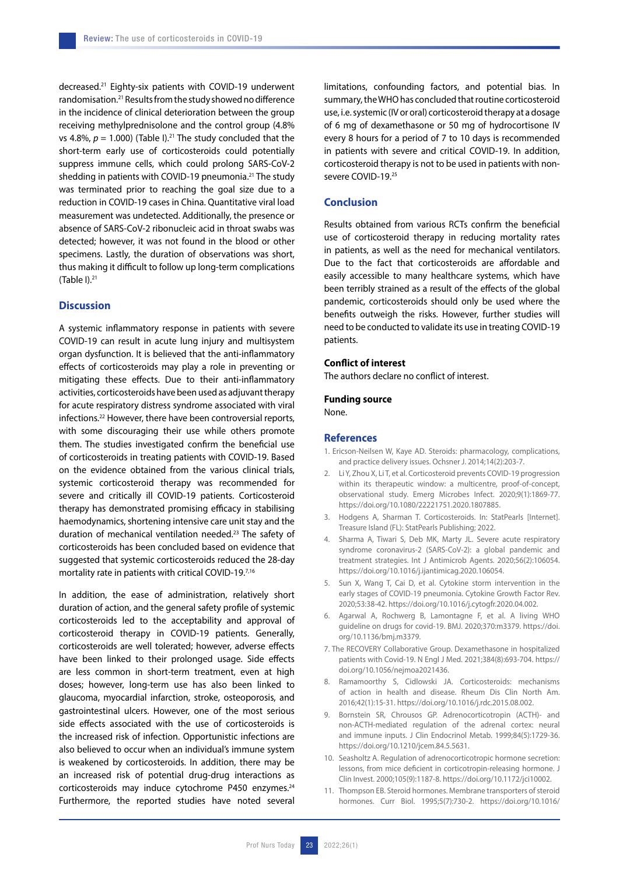decreased.21 Eighty-six patients with COVID-19 underwent randomisation.<sup>21</sup> Results from the study showed no difference in the incidence of clinical deterioration between the group receiving methylprednisolone and the control group (4.8% vs 4.8%,  $p = 1.000$ ) (Table I).<sup>21</sup> The study concluded that the short-term early use of corticosteroids could potentially suppress immune cells, which could prolong SARS-CoV-2 shedding in patients with COVID-19 pneumonia.<sup>21</sup> The study was terminated prior to reaching the goal size due to a reduction in COVID-19 cases in China. Quantitative viral load measurement was undetected. Additionally, the presence or absence of SARS-CoV-2 ribonucleic acid in throat swabs was detected; however, it was not found in the blood or other specimens. Lastly, the duration of observations was short, thus making it difficult to follow up long-term complications (Table  $I$ ).<sup>21</sup>

#### **Discussion**

A systemic inflammatory response in patients with severe COVID-19 can result in acute lung injury and multisystem organ dysfunction. It is believed that the anti-inflammatory effects of corticosteroids may play a role in preventing or mitigating these effects. Due to their anti-inflammatory activities, corticosteroids have been used as adjuvant therapy for acute respiratory distress syndrome associated with viral infections.22 However, there have been controversial reports, with some discouraging their use while others promote them. The studies investigated confirm the beneficial use of corticosteroids in treating patients with COVID-19. Based on the evidence obtained from the various clinical trials, systemic corticosteroid therapy was recommended for severe and critically ill COVID-19 patients. Corticosteroid therapy has demonstrated promising efficacy in stabilising haemodynamics, shortening intensive care unit stay and the duration of mechanical ventilation needed.23 The safety of corticosteroids has been concluded based on evidence that suggested that systemic corticosteroids reduced the 28-day mortality rate in patients with critical COVID-19.7,16

In addition, the ease of administration, relatively short duration of action, and the general safety profile of systemic corticosteroids led to the acceptability and approval of corticosteroid therapy in COVID-19 patients. Generally, corticosteroids are well tolerated; however, adverse effects have been linked to their prolonged usage. Side effects are less common in short-term treatment, even at high doses; however, long-term use has also been linked to glaucoma, myocardial infarction, stroke, osteoporosis, and gastrointestinal ulcers. However, one of the most serious side effects associated with the use of corticosteroids is the increased risk of infection. Opportunistic infections are also believed to occur when an individual's immune system is weakened by corticosteroids. In addition, there may be an increased risk of potential drug-drug interactions as corticosteroids may induce cytochrome P450 enzymes.<sup>24</sup> Furthermore, the reported studies have noted several limitations, confounding factors, and potential bias. In summary, the WHO has concluded that routine corticosteroid use, i.e. systemic (IV or oral) corticosteroid therapy at a dosage of 6 mg of dexamethasone or 50 mg of hydrocortisone IV every 8 hours for a period of 7 to 10 days is recommended in patients with severe and critical COVID-19. In addition, corticosteroid therapy is not to be used in patients with nonsevere COVID-19.25

### **Conclusion**

Results obtained from various RCTs confirm the beneficial use of corticosteroid therapy in reducing mortality rates in patients, as well as the need for mechanical ventilators. Due to the fact that corticosteroids are affordable and easily accessible to many healthcare systems, which have been terribly strained as a result of the effects of the global pandemic, corticosteroids should only be used where the benefits outweigh the risks. However, further studies will need to be conducted to validate its use in treating COVID-19 patients.

#### **Conflict of interest**

The authors declare no conflict of interest.

## **Funding source**

None.

#### **References**

- 1. Ericson-Neilsen W, Kaye AD. Steroids: pharmacology, complications, and practice delivery issues. Ochsner J. 2014;14(2):203-7.
- 2. Li Y, Zhou X, Li T, et al. Corticosteroid prevents COVID-19 progression within its therapeutic window: a multicentre, proof-of-concept, observational study. Emerg Microbes Infect. 2020;9(1):1869-77. https://doi.org/10.1080/22221751.2020.1807885.
- 3. Hodgens A, Sharman T. Corticosteroids. In: StatPearls [Internet]. Treasure Island (FL): StatPearls Publishing; 2022.
- 4. Sharma A, Tiwari S, Deb MK, Marty JL. Severe acute respiratory syndrome coronavirus-2 (SARS-CoV-2): a global pandemic and treatment strategies. Int J Antimicrob Agents. 2020;56(2):106054. https://doi.org/10.1016/j.ijantimicag.2020.106054.
- 5. Sun X, Wang T, Cai D, et al. Cytokine storm intervention in the early stages of COVID-19 pneumonia. Cytokine Growth Factor Rev. 2020;53:38-42. https://doi.org/10.1016/j.cytogfr.2020.04.002.
- 6. Agarwal A, Rochwerg B, Lamontagne F, et al. A living WHO guideline on drugs for covid-19. BMJ. 2020;370:m3379. https://doi. org/10.1136/bmj.m3379.
- 7. The RECOVERY Collaborative Group. Dexamethasone in hospitalized patients with Covid-19. N Engl J Med. 2021;384(8):693-704. https:// doi.org/10.1056/nejmoa2021436.
- 8. Ramamoorthy S, Cidlowski JA. Corticosteroids: mechanisms of action in health and disease. Rheum Dis Clin North Am. 2016;42(1):15-31. https://doi.org/10.1016/j.rdc.2015.08.002.
- 9. Bornstein SR, Chrousos GP. Adrenocorticotropin (ACTH)- and non-ACTH-mediated regulation of the adrenal cortex: neural and immune inputs. J Clin Endocrinol Metab. 1999;84(5):1729-36. https://doi.org/10.1210/jcem.84.5.5631.
- 10. Seasholtz A. Regulation of adrenocorticotropic hormone secretion: lessons, from mice deficient in corticotropin-releasing hormone. J Clin Invest. 2000;105(9):1187-8. https://doi.org/10.1172/jci10002.
- 11. Thompson EB. Steroid hormones. Membrane transporters of steroid hormones. Curr Biol. 1995;5(7):730-2. https://doi.org/10.1016/